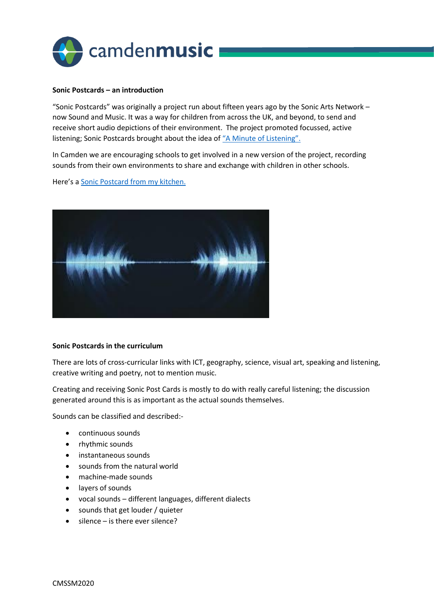

### **Sonic Postcards – an introduction**

"Sonic Postcards" was originally a project run about fifteen years ago by the Sonic Arts Network – now Sound and Music. It was a way for children from across the UK, and beyond, to send and receive short audio depictions of their environment. The project promoted focussed, active listening; Sonic Postcards brought about the idea of ["A Minute of Listening".](https://www.minuteoflistening.org/)

In Camden we are encouraging schools to get involved in a new version of the project, recording sounds from their own environments to share and exchange with children in other schools.

Here's a [Sonic Postcard from my kitchen.](https://camdenmusic.org/wp-content/uploads/2020/10/Another-Sonic-Postcard-from-my-kitchen.mp3)



## **Sonic Postcards in the curriculum**

There are lots of cross-curricular links with ICT, geography, science, visual art, speaking and listening, creative writing and poetry, not to mention music.

Creating and receiving Sonic Post Cards is mostly to do with really careful listening; the discussion generated around this is as important as the actual sounds themselves.

Sounds can be classified and described:-

- continuous sounds
- rhythmic sounds
- instantaneous sounds
- sounds from the natural world
- machine-made sounds
- layers of sounds
- vocal sounds different languages, different dialects
- sounds that get louder / quieter
- $\bullet$  silence is there ever silence?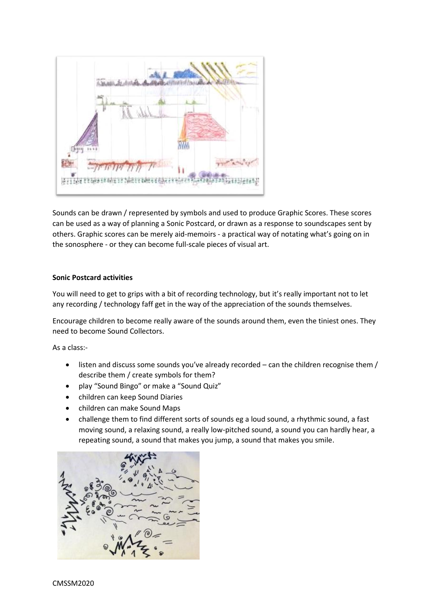

Sounds can be drawn / represented by symbols and used to produce Graphic Scores. These scores can be used as a way of planning a Sonic Postcard, or drawn as a response to soundscapes sent by others. Graphic scores can be merely aid-memoirs - a practical way of notating what's going on in the sonosphere - or they can become full-scale pieces of visual art.

# **Sonic Postcard activities**

You will need to get to grips with a bit of recording technology, but it's really important not to let any recording / technology faff get in the way of the appreciation of the sounds themselves.

Encourage children to become really aware of the sounds around them, even the tiniest ones. They need to become Sound Collectors.

As a class:-

- listen and discuss some sounds you've already recorded can the children recognise them / describe them / create symbols for them?
- play "Sound Bingo" or make a "Sound Quiz"
- children can keep Sound Diaries
- children can make Sound Maps
- challenge them to find different sorts of sounds eg a loud sound, a rhythmic sound, a fast moving sound, a relaxing sound, a really low-pitched sound, a sound you can hardly hear, a repeating sound, a sound that makes you jump, a sound that makes you smile.